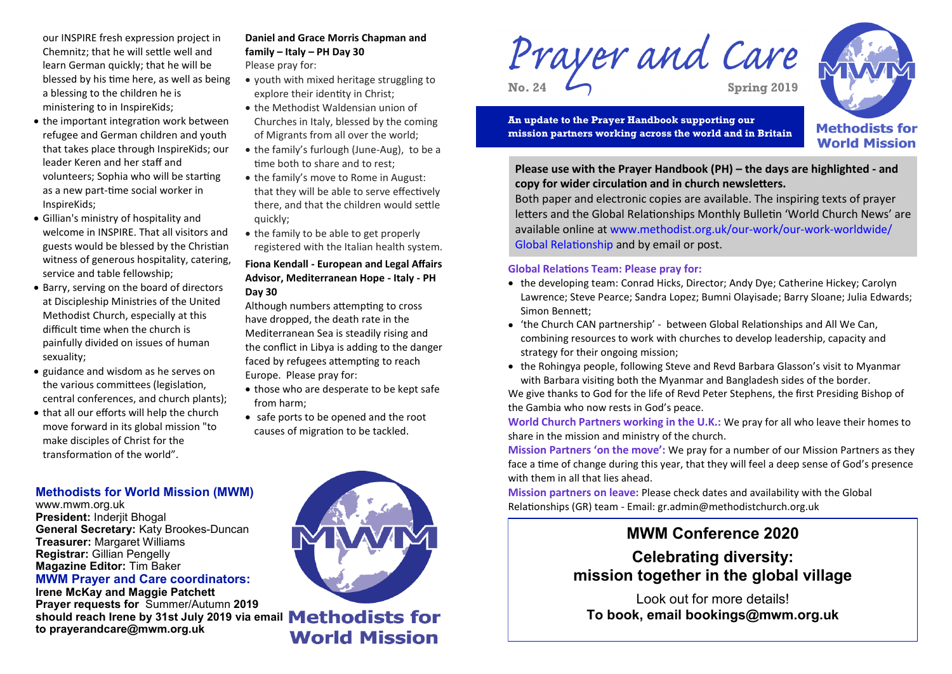our INSPIRE fresh expression project in Chemnitz; that he will settle well and learn German quickly; that he will be blessed by his time here, as well as being a blessing to the children he is ministering to in InspireKids;

- the important integration work between refugee and German children and youth that takes place through InspireKids; our leader Keren and her staff and volunteers; Sophia who will be starting as a new part-time social worker in InspireKids;
- Gillian's ministry of hospitality and welcome in INSPIRE. That all visitors and guests would be blessed by the Christian witness of generous hospitality, catering, service and table fellowship;
- Barry, serving on the board of directors at Discipleship Ministries of the United Methodist Church, especially at this difficult time when the church is painfully divided on issues of human sexuality;
- guidance and wisdom as he serves on the various committees (legislation, central conferences, and church plants);
- that all our efforts will help the church move forward in its global mission "to make disciples of Christ for the transformation of the world".

#### **Daniel and Grace Morris Chapman and family – Italy – PH Day 30** Please pray for:

- youth with mixed heritage struggling to explore their identity in Christ;
- the Methodist Waldensian union of
- Churches in Italy, blessed by the coming of Migrants from all over the world;
- the family's furlough (June-Aug), to be a time both to share and to rest;
- the family's move to Rome in August: that they will be able to serve effectively there, and that the children would settle quickly;
- the family to be able to get properly registered with the Italian health system.

#### **Fiona Kendall - European and Legal Affairs Advisor, Mediterranean Hope - Italy - PH Day 30**

Although numbers attempting to cross have dropped, the death rate in the Mediterranean Sea is steadily rising and the conflict in Libya is adding to the danger faced by refugees attempting to reach Europe. Please pray for:

- those who are desperate to be kept safe from harm;
- safe ports to be opened and the root causes of migration to be tackled.

# Prayer and Care



**World Mission** 

**An update to the Prayer Handbook supporting our mission partners working across the world and in Britain**

**Please use with the Prayer Handbook (PH) – the days are highlighted - and copy for wider circulation and in church newsletters.** 

Both paper and electronic copies are available. The inspiring texts of prayer letters and the Global Relationships Monthly Bulletin 'World Church News' are available online at www.methodist.org.uk/our-work/our-work-worldwide/ Global Relationship and by email or post.

## **Global Relations Team: Please pray for:**

- the developing team: Conrad Hicks, Director; Andy Dye; Catherine Hickey; Carolyn Lawrence; Steve Pearce; Sandra Lopez; Bumni Olayisade; Barry Sloane; Julia Edwards; Simon Bennett;
- 'the Church CAN partnership' between Global Relationships and All We Can, combining resources to work with churches to develop leadership, capacity and strategy for their ongoing mission;
- the Rohingya people, following Steve and Revd Barbara Glasson's visit to Myanmar with Barbara visiting both the Myanmar and Bangladesh sides of the border.

We give thanks to God for the life of Revd Peter Stephens, the first Presiding Bishop of the Gambia who now rests in God's peace.

**World Church Partners working in the U.K.:** We pray for all who leave their homes to share in the mission and ministry of the church.

**Mission Partners 'on the move':** We pray for a number of our Mission Partners as they face a time of change during this year, that they will feel a deep sense of God's presence with them in all that lies ahead.

**Mission partners on leave:** Please check dates and availability with the Global Relationships (GR) team - Email: gr.admin@methodistchurch.org.uk

# **MWM Conference 2020**

**Celebrating diversity: mission together in the global village** 

Look out for more details! **To book, email bookings@mwm.org.uk**

# **Methodists for World Mission (MWM)**

www.mwm.org.uk **President:** Inderjit Bhogal **General Secretary:** Katy Brookes-Duncan **Treasurer:** Margaret Williams **Registrar:** Gillian Pengelly **Magazine Editor:** Tim Baker

#### **MWM Prayer and Care coordinators: Irene McKay and Maggie Patchett**

**Prayer requests for** Summer/Autumn **2019**  should reach Irene by 31st July 2019 via email **Methodists for to prayerandcare@mwm.org.uk**